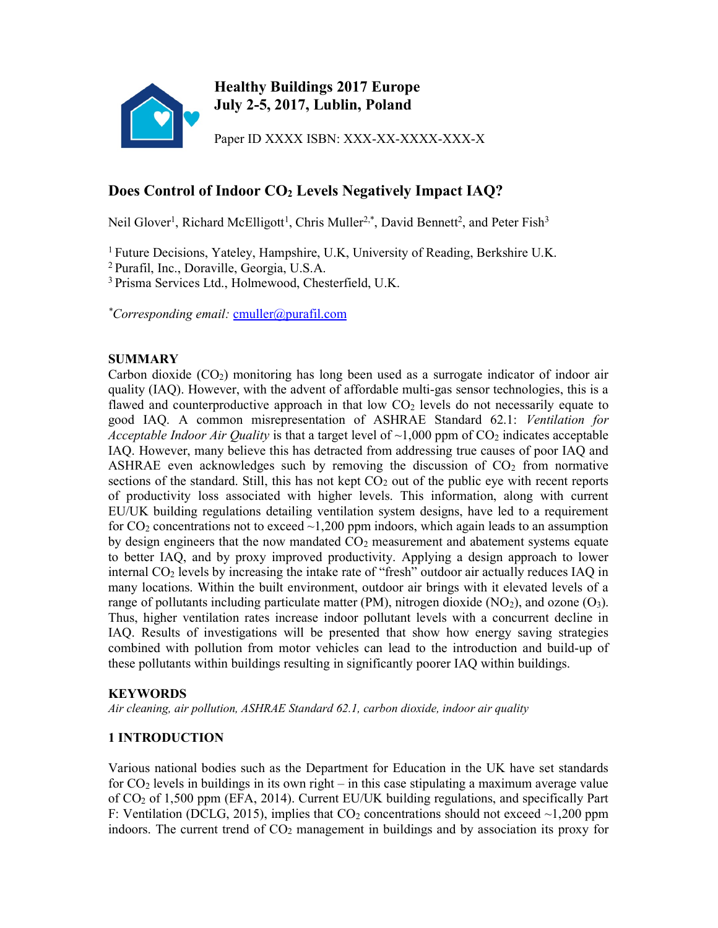

## Healthy Buildings 2017 Europe July 2-5, 2017, Lublin, Poland

Paper ID XXXX ISBN: XXX-XX-XXXX-XXX-X

# Does Control of Indoor CO<sub>2</sub> Levels Negatively Impact IAQ?

Neil Glover<sup>1</sup>, Richard McElligott<sup>1</sup>, Chris Muller<sup>2,\*</sup>, David Bennett<sup>2</sup>, and Peter Fish<sup>3</sup>

<sup>1</sup> Future Decisions, Yateley, Hampshire, U.K, University of Reading, Berkshire U.K.

<sup>2</sup>Purafil, Inc., Doraville, Georgia, U.S.A.

<sup>3</sup>Prisma Services Ltd., Holmewood, Chesterfield, U.K.

\*Corresponding email: cmuller@purafil.com

#### SUMMARY

Carbon dioxide  $(CO_2)$  monitoring has long been used as a surrogate indicator of indoor air quality (IAQ). However, with the advent of affordable multi-gas sensor technologies, this is a flawed and counterproductive approach in that low  $CO<sub>2</sub>$  levels do not necessarily equate to good IAQ. A common misrepresentation of ASHRAE Standard 62.1: Ventilation for Acceptable Indoor Air Quality is that a target level of  $\sim$ 1,000 ppm of CO<sub>2</sub> indicates acceptable IAQ. However, many believe this has detracted from addressing true causes of poor IAQ and ASHRAE even acknowledges such by removing the discussion of  $CO<sub>2</sub>$  from normative sections of the standard. Still, this has not kept  $CO<sub>2</sub>$  out of the public eye with recent reports of productivity loss associated with higher levels. This information, along with current EU/UK building regulations detailing ventilation system designs, have led to a requirement for  $CO<sub>2</sub>$  concentrations not to exceed  $\sim$ 1,200 ppm indoors, which again leads to an assumption by design engineers that the now mandated  $CO<sub>2</sub>$  measurement and abatement systems equate to better IAQ, and by proxy improved productivity. Applying a design approach to lower internal CO2 levels by increasing the intake rate of "fresh" outdoor air actually reduces IAQ in many locations. Within the built environment, outdoor air brings with it elevated levels of a range of pollutants including particulate matter (PM), nitrogen dioxide (NO<sub>2</sub>), and ozone (O<sub>3</sub>). Thus, higher ventilation rates increase indoor pollutant levels with a concurrent decline in IAQ. Results of investigations will be presented that show how energy saving strategies combined with pollution from motor vehicles can lead to the introduction and build-up of these pollutants within buildings resulting in significantly poorer IAQ within buildings.

#### **KEYWORDS**

Air cleaning, air pollution, ASHRAE Standard 62.1, carbon dioxide, indoor air quality

## 1 INTRODUCTION

Various national bodies such as the Department for Education in the UK have set standards for  $CO<sub>2</sub>$  levels in buildings in its own right – in this case stipulating a maximum average value of CO2 of 1,500 ppm (EFA, 2014). Current EU/UK building regulations, and specifically Part F: Ventilation (DCLG, 2015), implies that  $CO<sub>2</sub>$  concentrations should not exceed  $\sim$ 1,200 ppm indoors. The current trend of  $CO<sub>2</sub>$  management in buildings and by association its proxy for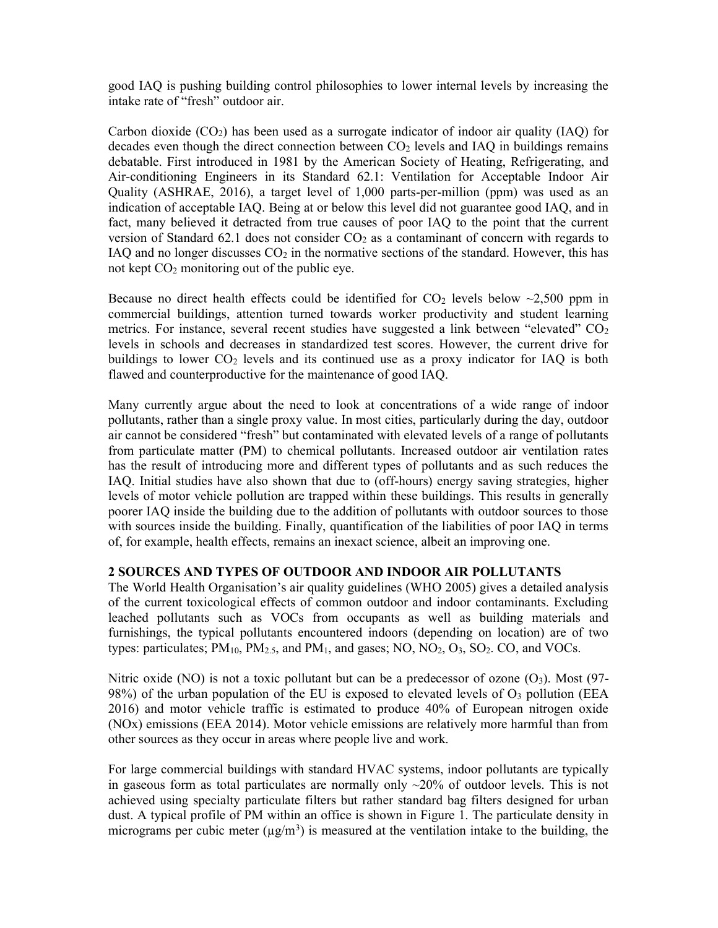good IAQ is pushing building control philosophies to lower internal levels by increasing the intake rate of "fresh" outdoor air.

Carbon dioxide  $(CO_2)$  has been used as a surrogate indicator of indoor air quality (IAQ) for decades even though the direct connection between  $CO<sub>2</sub>$  levels and IAQ in buildings remains debatable. First introduced in 1981 by the American Society of Heating, Refrigerating, and Air-conditioning Engineers in its Standard 62.1: Ventilation for Acceptable Indoor Air Quality (ASHRAE, 2016), a target level of 1,000 parts-per-million (ppm) was used as an indication of acceptable IAQ. Being at or below this level did not guarantee good IAQ, and in fact, many believed it detracted from true causes of poor IAQ to the point that the current version of Standard 62.1 does not consider  $CO<sub>2</sub>$  as a contaminant of concern with regards to IAQ and no longer discusses  $CO<sub>2</sub>$  in the normative sections of the standard. However, this has not kept  $CO<sub>2</sub>$  monitoring out of the public eye.

Because no direct health effects could be identified for  $CO<sub>2</sub>$  levels below  $\sim$ 2,500 ppm in commercial buildings, attention turned towards worker productivity and student learning metrics. For instance, several recent studies have suggested a link between "elevated"  $CO<sub>2</sub>$ levels in schools and decreases in standardized test scores. However, the current drive for buildings to lower CO2 levels and its continued use as a proxy indicator for IAQ is both flawed and counterproductive for the maintenance of good IAQ.

Many currently argue about the need to look at concentrations of a wide range of indoor pollutants, rather than a single proxy value. In most cities, particularly during the day, outdoor air cannot be considered "fresh" but contaminated with elevated levels of a range of pollutants from particulate matter (PM) to chemical pollutants. Increased outdoor air ventilation rates has the result of introducing more and different types of pollutants and as such reduces the IAQ. Initial studies have also shown that due to (off-hours) energy saving strategies, higher levels of motor vehicle pollution are trapped within these buildings. This results in generally poorer IAQ inside the building due to the addition of pollutants with outdoor sources to those with sources inside the building. Finally, quantification of the liabilities of poor IAQ in terms of, for example, health effects, remains an inexact science, albeit an improving one.

#### 2 SOURCES AND TYPES OF OUTDOOR AND INDOOR AIR POLLUTANTS

The World Health Organisation's air quality guidelines (WHO 2005) gives a detailed analysis of the current toxicological effects of common outdoor and indoor contaminants. Excluding leached pollutants such as VOCs from occupants as well as building materials and furnishings, the typical pollutants encountered indoors (depending on location) are of two types: particulates;  $PM_{10}$ ,  $PM_{2.5}$ , and  $PM_1$ , and gases; NO, NO<sub>2</sub>, O<sub>3</sub>, SO<sub>2</sub>. CO, and VOCs.

Nitric oxide (NO) is not a toxic pollutant but can be a predecessor of ozone  $(O_3)$ . Most (97-98%) of the urban population of the EU is exposed to elevated levels of  $O<sub>3</sub>$  pollution (EEA 2016) and motor vehicle traffic is estimated to produce 40% of European nitrogen oxide (NOx) emissions (EEA 2014). Motor vehicle emissions are relatively more harmful than from other sources as they occur in areas where people live and work.

For large commercial buildings with standard HVAC systems, indoor pollutants are typically in gaseous form as total particulates are normally only  $\sim$ 20% of outdoor levels. This is not achieved using specialty particulate filters but rather standard bag filters designed for urban dust. A typical profile of PM within an office is shown in Figure 1. The particulate density in micrograms per cubic meter  $(\mu g/m^3)$  is measured at the ventilation intake to the building, the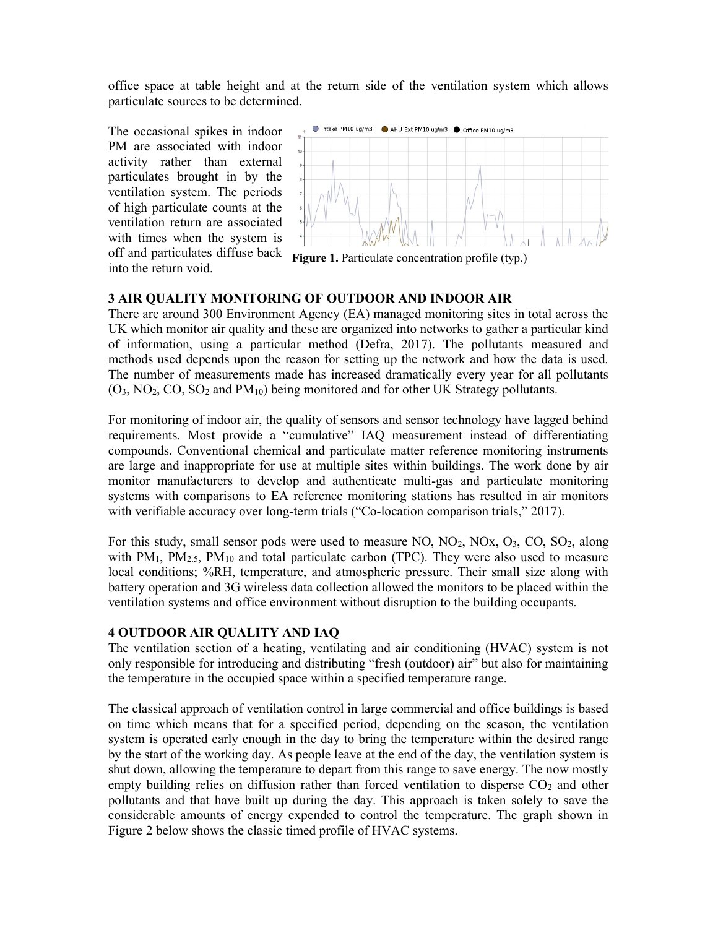office space at table height and at the return side of the ventilation system which allows particulate sources to be determined.

The occasional spikes in indoor PM are associated with indoor activity rather than external particulates brought in by the ventilation system. The periods of high particulate counts at the ventilation return are associated with times when the system is off and particulates diffuse back into the return void.



Figure 1. Particulate concentration profile (typ.)

## 3 AIR QUALITY MONITORING OF OUTDOOR AND INDOOR AIR

There are around 300 Environment Agency (EA) managed monitoring sites in total across the UK which monitor air quality and these are organized into networks to gather a particular kind of information, using a particular method (Defra, 2017). The pollutants measured and methods used depends upon the reason for setting up the network and how the data is used. The number of measurements made has increased dramatically every year for all pollutants  $(O_3, NO_2, CO, SO_2, and PM_{10})$  being monitored and for other UK Strategy pollutants.

For monitoring of indoor air, the quality of sensors and sensor technology have lagged behind requirements. Most provide a "cumulative" IAQ measurement instead of differentiating compounds. Conventional chemical and particulate matter reference monitoring instruments are large and inappropriate for use at multiple sites within buildings. The work done by air monitor manufacturers to develop and authenticate multi-gas and particulate monitoring systems with comparisons to EA reference monitoring stations has resulted in air monitors with verifiable accuracy over long-term trials ("Co-location comparison trials," 2017).

For this study, small sensor pods were used to measure NO,  $NO<sub>2</sub>$ ,  $NO<sub>X</sub>$ ,  $O<sub>3</sub>$ ,  $CO$ ,  $SO<sub>2</sub>$ , along with  $PM_1$ ,  $PM_{2.5}$ ,  $PM_{10}$  and total particulate carbon (TPC). They were also used to measure local conditions; %RH, temperature, and atmospheric pressure. Their small size along with battery operation and 3G wireless data collection allowed the monitors to be placed within the ventilation systems and office environment without disruption to the building occupants.

### 4 OUTDOOR AIR QUALITY AND IAQ

The ventilation section of a heating, ventilating and air conditioning (HVAC) system is not only responsible for introducing and distributing "fresh (outdoor) air" but also for maintaining the temperature in the occupied space within a specified temperature range.

The classical approach of ventilation control in large commercial and office buildings is based on time which means that for a specified period, depending on the season, the ventilation system is operated early enough in the day to bring the temperature within the desired range by the start of the working day. As people leave at the end of the day, the ventilation system is shut down, allowing the temperature to depart from this range to save energy. The now mostly empty building relies on diffusion rather than forced ventilation to disperse  $CO<sub>2</sub>$  and other pollutants and that have built up during the day. This approach is taken solely to save the considerable amounts of energy expended to control the temperature. The graph shown in Figure 2 below shows the classic timed profile of HVAC systems.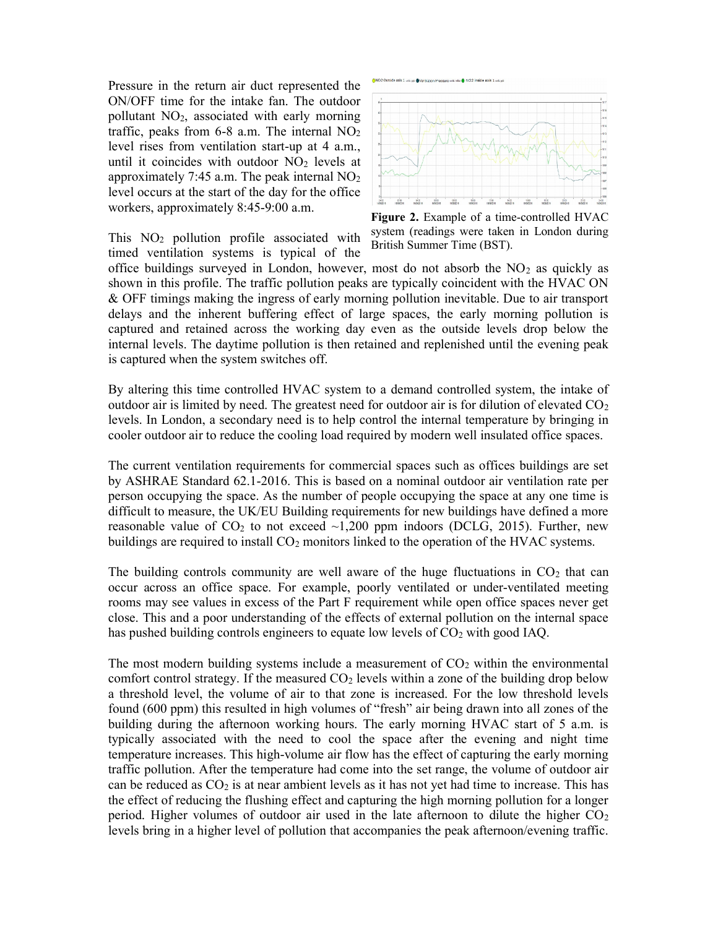Pressure in the return air duct represented the ON/OFF time for the intake fan. The outdoor pollutant NO2, associated with early morning traffic, peaks from  $6-8$  a.m. The internal  $NO<sub>2</sub>$ level rises from ventilation start-up at 4 a.m., until it coincides with outdoor  $NO<sub>2</sub>$  levels at approximately 7:45 a.m. The peak internal  $NO<sub>2</sub>$ level occurs at the start of the day for the office workers, approximately 8:45-9:00 a.m.

This NO2 pollution profile associated with timed ventilation systems is typical of the



Figure 2. Example of a time-controlled HVAC system (readings were taken in London during British Summer Time (BST).

office buildings surveyed in London, however, most do not absorb the  $NO<sub>2</sub>$  as quickly as shown in this profile. The traffic pollution peaks are typically coincident with the HVAC ON & OFF timings making the ingress of early morning pollution inevitable. Due to air transport delays and the inherent buffering effect of large spaces, the early morning pollution is captured and retained across the working day even as the outside levels drop below the internal levels. The daytime pollution is then retained and replenished until the evening peak is captured when the system switches off.

By altering this time controlled HVAC system to a demand controlled system, the intake of outdoor air is limited by need. The greatest need for outdoor air is for dilution of elevated  $CO<sub>2</sub>$ levels. In London, a secondary need is to help control the internal temperature by bringing in cooler outdoor air to reduce the cooling load required by modern well insulated office spaces.

The current ventilation requirements for commercial spaces such as offices buildings are set by ASHRAE Standard 62.1-2016. This is based on a nominal outdoor air ventilation rate per person occupying the space. As the number of people occupying the space at any one time is difficult to measure, the UK/EU Building requirements for new buildings have defined a more reasonable value of  $CO<sub>2</sub>$  to not exceed  $\sim$ 1,200 ppm indoors (DCLG, 2015). Further, new buildings are required to install CO<sub>2</sub> monitors linked to the operation of the HVAC systems.

The building controls community are well aware of the huge fluctuations in  $CO<sub>2</sub>$  that can occur across an office space. For example, poorly ventilated or under-ventilated meeting rooms may see values in excess of the Part F requirement while open office spaces never get close. This and a poor understanding of the effects of external pollution on the internal space has pushed building controls engineers to equate low levels of  $CO<sub>2</sub>$  with good IAQ.

The most modern building systems include a measurement of  $CO<sub>2</sub>$  within the environmental comfort control strategy. If the measured  $CO<sub>2</sub>$  levels within a zone of the building drop below a threshold level, the volume of air to that zone is increased. For the low threshold levels found (600 ppm) this resulted in high volumes of "fresh" air being drawn into all zones of the building during the afternoon working hours. The early morning HVAC start of 5 a.m. is typically associated with the need to cool the space after the evening and night time temperature increases. This high-volume air flow has the effect of capturing the early morning traffic pollution. After the temperature had come into the set range, the volume of outdoor air can be reduced as  $CO<sub>2</sub>$  is at near ambient levels as it has not yet had time to increase. This has the effect of reducing the flushing effect and capturing the high morning pollution for a longer period. Higher volumes of outdoor air used in the late afternoon to dilute the higher  $CO<sub>2</sub>$ levels bring in a higher level of pollution that accompanies the peak afternoon/evening traffic.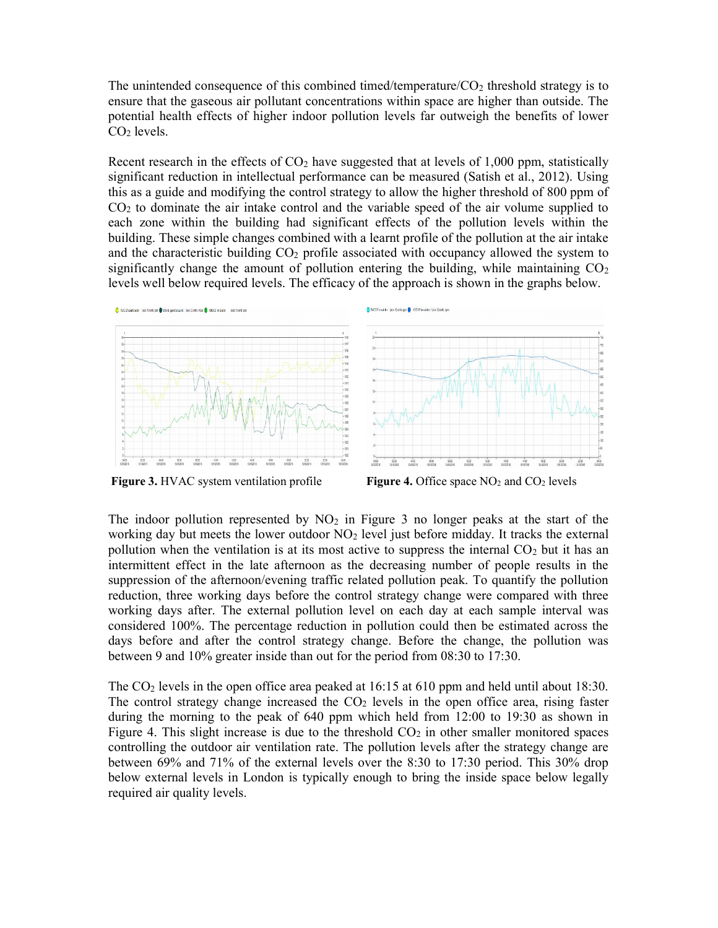The unintended consequence of this combined timed/temperature/ $CO<sub>2</sub>$  threshold strategy is to ensure that the gaseous air pollutant concentrations within space are higher than outside. The potential health effects of higher indoor pollution levels far outweigh the benefits of lower CO<sub>2</sub> levels.

Recent research in the effects of  $CO<sub>2</sub>$  have suggested that at levels of 1,000 ppm, statistically significant reduction in intellectual performance can be measured (Satish et al., 2012). Using this as a guide and modifying the control strategy to allow the higher threshold of 800 ppm of CO2 to dominate the air intake control and the variable speed of the air volume supplied to each zone within the building had significant effects of the pollution levels within the building. These simple changes combined with a learnt profile of the pollution at the air intake and the characteristic building  $CO<sub>2</sub>$  profile associated with occupancy allowed the system to significantly change the amount of pollution entering the building, while maintaining  $CO<sub>2</sub>$ levels well below required levels. The efficacy of the approach is shown in the graphs below.



Figure 3. HVAC system ventilation profile

Figure 4. Office space  $NO<sub>2</sub>$  and  $CO<sub>2</sub>$  levels

The indoor pollution represented by  $NO<sub>2</sub>$  in Figure 3 no longer peaks at the start of the working day but meets the lower outdoor  $NO<sub>2</sub>$  level just before midday. It tracks the external pollution when the ventilation is at its most active to suppress the internal  $CO<sub>2</sub>$  but it has an intermittent effect in the late afternoon as the decreasing number of people results in the suppression of the afternoon/evening traffic related pollution peak. To quantify the pollution reduction, three working days before the control strategy change were compared with three working days after. The external pollution level on each day at each sample interval was considered 100%. The percentage reduction in pollution could then be estimated across the days before and after the control strategy change. Before the change, the pollution was between 9 and 10% greater inside than out for the period from 08:30 to 17:30.

The CO2 levels in the open office area peaked at 16:15 at 610 ppm and held until about 18:30. The control strategy change increased the  $CO<sub>2</sub>$  levels in the open office area, rising faster during the morning to the peak of 640 ppm which held from 12:00 to 19:30 as shown in Figure 4. This slight increase is due to the threshold  $CO<sub>2</sub>$  in other smaller monitored spaces controlling the outdoor air ventilation rate. The pollution levels after the strategy change are between 69% and 71% of the external levels over the 8:30 to 17:30 period. This 30% drop below external levels in London is typically enough to bring the inside space below legally required air quality levels.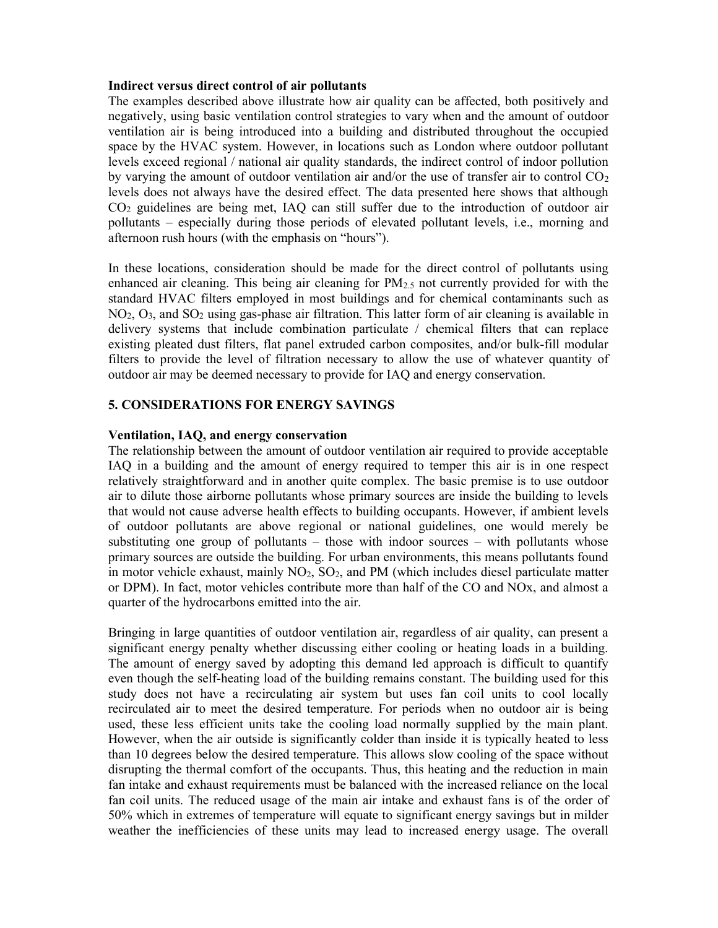#### Indirect versus direct control of air pollutants

The examples described above illustrate how air quality can be affected, both positively and negatively, using basic ventilation control strategies to vary when and the amount of outdoor ventilation air is being introduced into a building and distributed throughout the occupied space by the HVAC system. However, in locations such as London where outdoor pollutant levels exceed regional / national air quality standards, the indirect control of indoor pollution by varying the amount of outdoor ventilation air and/or the use of transfer air to control  $CO<sub>2</sub>$ levels does not always have the desired effect. The data presented here shows that although CO2 guidelines are being met, IAQ can still suffer due to the introduction of outdoor air pollutants – especially during those periods of elevated pollutant levels, i.e., morning and afternoon rush hours (with the emphasis on "hours").

In these locations, consideration should be made for the direct control of pollutants using enhanced air cleaning. This being air cleaning for PM2.5 not currently provided for with the standard HVAC filters employed in most buildings and for chemical contaminants such as NO2, O3, and SO2 using gas-phase air filtration. This latter form of air cleaning is available in delivery systems that include combination particulate / chemical filters that can replace existing pleated dust filters, flat panel extruded carbon composites, and/or bulk-fill modular filters to provide the level of filtration necessary to allow the use of whatever quantity of outdoor air may be deemed necessary to provide for IAQ and energy conservation.

### 5. CONSIDERATIONS FOR ENERGY SAVINGS

#### Ventilation, IAQ, and energy conservation

The relationship between the amount of outdoor ventilation air required to provide acceptable IAQ in a building and the amount of energy required to temper this air is in one respect relatively straightforward and in another quite complex. The basic premise is to use outdoor air to dilute those airborne pollutants whose primary sources are inside the building to levels that would not cause adverse health effects to building occupants. However, if ambient levels of outdoor pollutants are above regional or national guidelines, one would merely be substituting one group of pollutants – those with indoor sources – with pollutants whose primary sources are outside the building. For urban environments, this means pollutants found in motor vehicle exhaust, mainly  $NO<sub>2</sub>$ ,  $SO<sub>2</sub>$ , and PM (which includes diesel particulate matter or DPM). In fact, motor vehicles contribute more than half of the CO and NOx, and almost a quarter of the hydrocarbons emitted into the air.

Bringing in large quantities of outdoor ventilation air, regardless of air quality, can present a significant energy penalty whether discussing either cooling or heating loads in a building. The amount of energy saved by adopting this demand led approach is difficult to quantify even though the self-heating load of the building remains constant. The building used for this study does not have a recirculating air system but uses fan coil units to cool locally recirculated air to meet the desired temperature. For periods when no outdoor air is being used, these less efficient units take the cooling load normally supplied by the main plant. However, when the air outside is significantly colder than inside it is typically heated to less than 10 degrees below the desired temperature. This allows slow cooling of the space without disrupting the thermal comfort of the occupants. Thus, this heating and the reduction in main fan intake and exhaust requirements must be balanced with the increased reliance on the local fan coil units. The reduced usage of the main air intake and exhaust fans is of the order of 50% which in extremes of temperature will equate to significant energy savings but in milder weather the inefficiencies of these units may lead to increased energy usage. The overall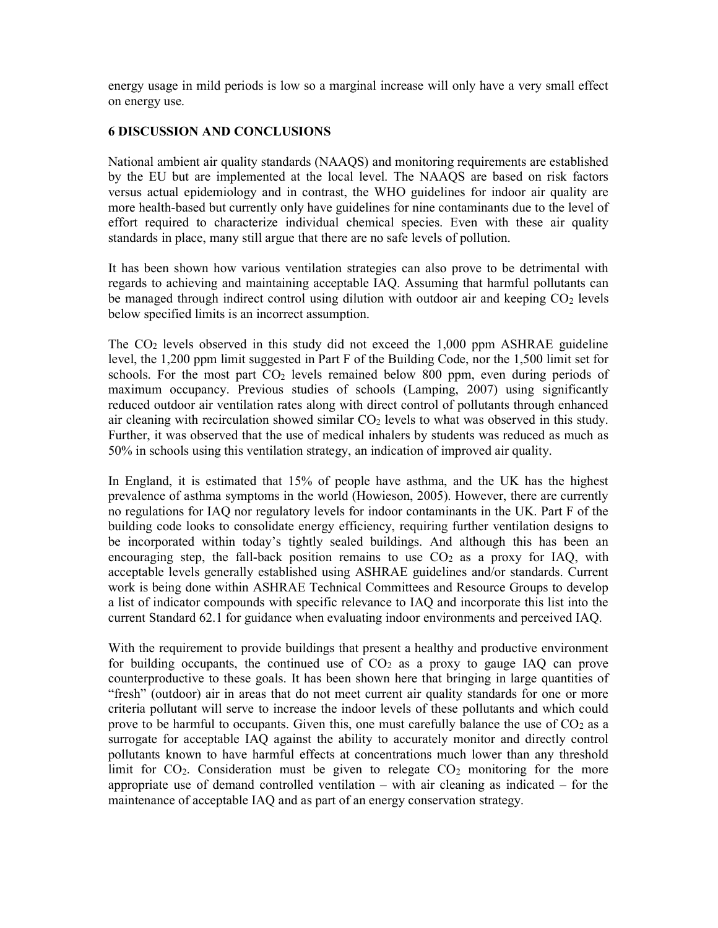energy usage in mild periods is low so a marginal increase will only have a very small effect on energy use.

### 6 DISCUSSION AND CONCLUSIONS

National ambient air quality standards (NAAQS) and monitoring requirements are established by the EU but are implemented at the local level. The NAAQS are based on risk factors versus actual epidemiology and in contrast, the WHO guidelines for indoor air quality are more health-based but currently only have guidelines for nine contaminants due to the level of effort required to characterize individual chemical species. Even with these air quality standards in place, many still argue that there are no safe levels of pollution.

It has been shown how various ventilation strategies can also prove to be detrimental with regards to achieving and maintaining acceptable IAQ. Assuming that harmful pollutants can be managed through indirect control using dilution with outdoor air and keeping  $CO<sub>2</sub>$  levels below specified limits is an incorrect assumption.

The  $CO<sub>2</sub>$  levels observed in this study did not exceed the 1,000 ppm ASHRAE guideline level, the 1,200 ppm limit suggested in Part F of the Building Code, nor the 1,500 limit set for schools. For the most part  $CO<sub>2</sub>$  levels remained below 800 ppm, even during periods of maximum occupancy. Previous studies of schools (Lamping, 2007) using significantly reduced outdoor air ventilation rates along with direct control of pollutants through enhanced air cleaning with recirculation showed similar  $CO<sub>2</sub>$  levels to what was observed in this study. Further, it was observed that the use of medical inhalers by students was reduced as much as 50% in schools using this ventilation strategy, an indication of improved air quality.

In England, it is estimated that 15% of people have asthma, and the UK has the highest prevalence of asthma symptoms in the world (Howieson, 2005). However, there are currently no regulations for IAQ nor regulatory levels for indoor contaminants in the UK. Part F of the building code looks to consolidate energy efficiency, requiring further ventilation designs to be incorporated within today's tightly sealed buildings. And although this has been an encouraging step, the fall-back position remains to use  $CO<sub>2</sub>$  as a proxy for IAQ, with acceptable levels generally established using ASHRAE guidelines and/or standards. Current work is being done within ASHRAE Technical Committees and Resource Groups to develop a list of indicator compounds with specific relevance to IAQ and incorporate this list into the current Standard 62.1 for guidance when evaluating indoor environments and perceived IAQ.

With the requirement to provide buildings that present a healthy and productive environment for building occupants, the continued use of  $CO<sub>2</sub>$  as a proxy to gauge IAQ can prove counterproductive to these goals. It has been shown here that bringing in large quantities of "fresh" (outdoor) air in areas that do not meet current air quality standards for one or more criteria pollutant will serve to increase the indoor levels of these pollutants and which could prove to be harmful to occupants. Given this, one must carefully balance the use of  $CO<sub>2</sub>$  as a surrogate for acceptable IAQ against the ability to accurately monitor and directly control pollutants known to have harmful effects at concentrations much lower than any threshold limit for  $CO<sub>2</sub>$ . Consideration must be given to relegate  $CO<sub>2</sub>$  monitoring for the more appropriate use of demand controlled ventilation – with air cleaning as indicated – for the maintenance of acceptable IAQ and as part of an energy conservation strategy.